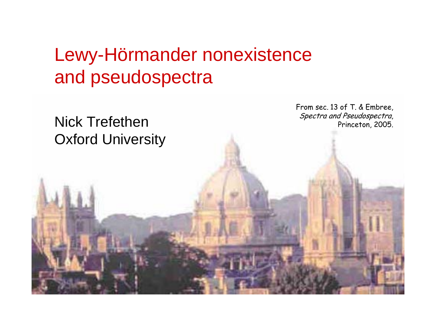# Lewy-Hörmander nonexistence and pseudospectra

## Nick TrefethenOxford University

From sec. 13 of T. & Embree, Spectra and Pseudospectra, Princeton, 2005.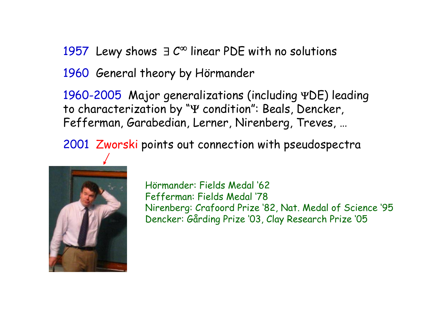1957 Lewy shows  $\exists C^{\infty}$  linear PDE with no solutions

1960 General theory by Hörmander

1960-2005 Major generalizations (including ΨDE) leading to characterization by "<sup>Ψ</sup> condition": Beals, Dencker, Fefferman, Garabedian, Lerner, Nirenberg, Treves, …

2001 Zworski points out connection with pseudospectra



Hörmander: Fields Medal '62 Fefferman: Fields Medal '78 Nirenberg: Crafoord Prize '82, Nat. Medal of Science '95 Dencker: Gårding Prize '03, Clay Research Prize '05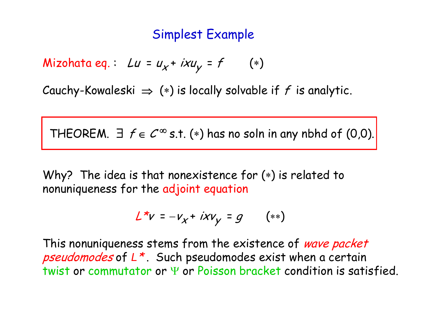### Simplest Example

Mizohata eq. :  $Lu = u_\chi$ +  $ixu_\chi$  =  $f$   $(*)$ 

Cauchy-Kowaleski  $\Rightarrow$  (\*) is locally solvable if f is analytic.

THEOREM.  $\exists$   $f \in C^{\infty}$  s.t. (\*) has no soln in any nbhd of (0,0).

Why? The idea is that nonexistence for (\*) is related to nonuniqueness for the adjoint equation

$$
L^*v = -v_x + i x v_y = g \qquad (**)
$$

This nonuniqueness stems from the existence of wave packet pseudomodes of *<sup>L</sup>*\* . Such pseudomodes exist when a certain twist or commutator or Ψ or Poisson bracket condition is satisfied.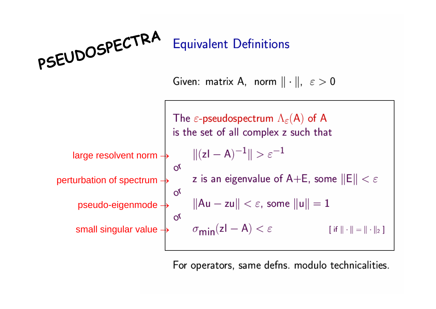

For operators, same defns. modulo technicalities.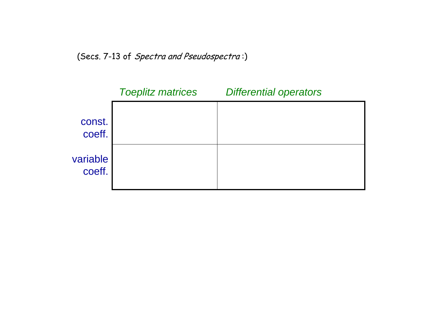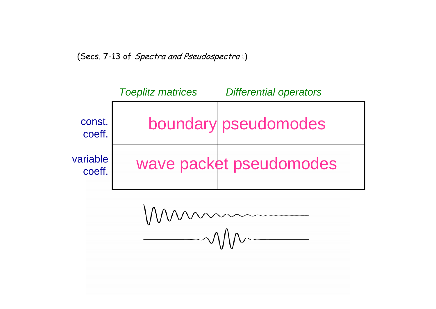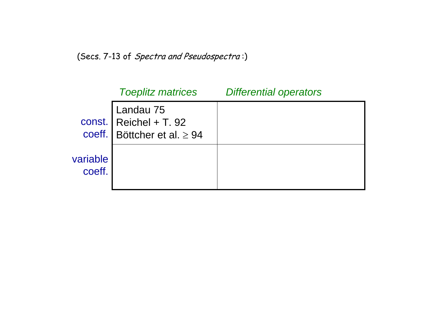|                    | <b>Toeplitz matrices</b>                                                                                                                       | <b>Differential operators</b> |
|--------------------|------------------------------------------------------------------------------------------------------------------------------------------------|-------------------------------|
|                    | $\begin{array}{c} \text{Landau } 75 \\ \text{Const.} \\ \text{Reichel + T. 92} \\ \text{coeff.} \\ \text{Böttcher et al.} \geq 94 \end{array}$ |                               |
| variable<br>coeff. |                                                                                                                                                |                               |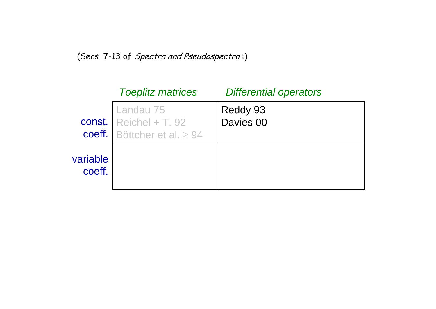|                    | <b>Toeplitz matrices</b>                                                  | <b>Differential operators</b> |
|--------------------|---------------------------------------------------------------------------|-------------------------------|
|                    | Landau 75<br>const. $Reichel + T. 92$<br>coeff. Böttcher et al. $\geq 94$ | Reddy 93<br>Davies 00         |
| variable<br>coeff. |                                                                           |                               |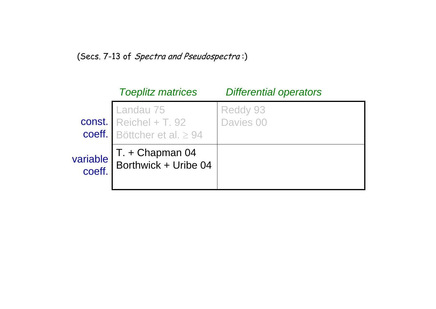|                    | <b>Toeplitz matrices</b>                                                | <b>Differential operators</b> |
|--------------------|-------------------------------------------------------------------------|-------------------------------|
|                    | Landau 75<br>const. Reichel + T. 92<br>coeff. Böttcher et al. $\geq 94$ | Reddy 93<br>Davies 00         |
| variable<br>coeff. | T. + Chapman 04<br>Borthwick + Uribe 04                                 |                               |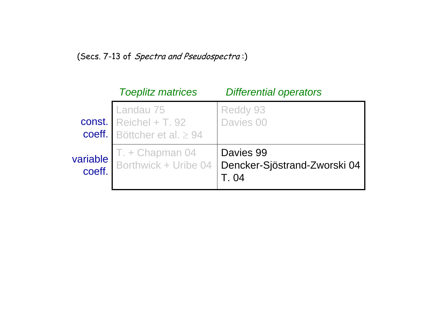|                    | <b>Toeplitz matrices</b>                                                | <b>Differential operators</b>             |
|--------------------|-------------------------------------------------------------------------|-------------------------------------------|
|                    | Const. Landau 75<br>Reichel + T. 92<br>coeff. Böttcher et al. $\geq 94$ | <b>Reddy 93</b><br>Davies 00              |
| variable<br>coeff. | T. + Chapman 04<br>Borthwick + Uribe 04                                 | Davies 99<br>Dencker-Sjöstrand-Zworski 04 |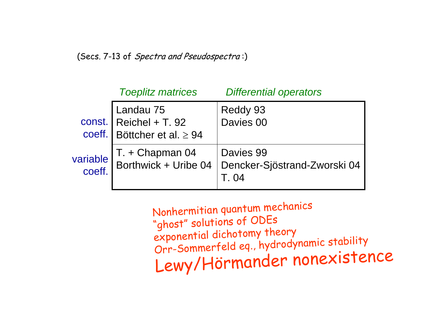|                    | <b>Toeplitz matrices</b>                                                                                                                | <b>Differential operators</b>             |
|--------------------|-----------------------------------------------------------------------------------------------------------------------------------------|-------------------------------------------|
|                    | $\begin{tabular}{ l l } \hline \texttt{Landau 75} \cr const. & Reichel + T. 92 \cr coeff. & Böttcher et al. &\geq 94 \cr \end{tabular}$ | Reddy 93<br>Davies 00                     |
| variable<br>coeff. | T. + Chapman 04<br>Borthwick + Uribe 04                                                                                                 | Davies 99<br>Dencker-Sjöstrand-Zworski 04 |

Nonhermitian quantum mechanics "ghost" solutions of ODEs exponential dichotomy theory Orr-Sommerfeld eq., hydrodynamic stability Lewy/Hörmander nonexistence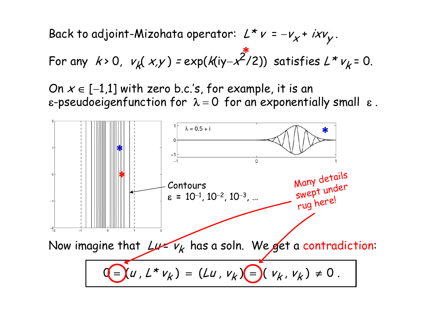Back to adjoint-Mizohata operator:  $\mathcal{L} \star \mathcal{V}$  =  $-v_x + i v_y$ .

For any 
$$
k>0
$$
,  $v_k(x,y) = exp(k(iy-x^2/2))$  satisfies  $L * v_k = 0$ .

On  $x\in[-1.1]$  with zero b.c.'s, for example, it is an  $\;$  $\bm{\epsilon}$ -pseudoeigenfunction for  $\bm{\lambda}$  =  $=$  0 for an exponentially small  $\,$   $\,$   $\,$   $\,$   $\,$ 

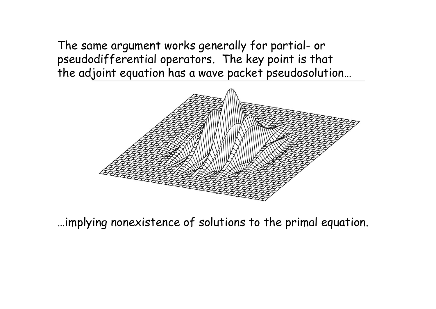The same argument works generally for partial- or pseudodifferential operators. The key point is that the adjoint equation has a wave packet pseudosolution…



…implying nonexistence of solutions to the primal equation.